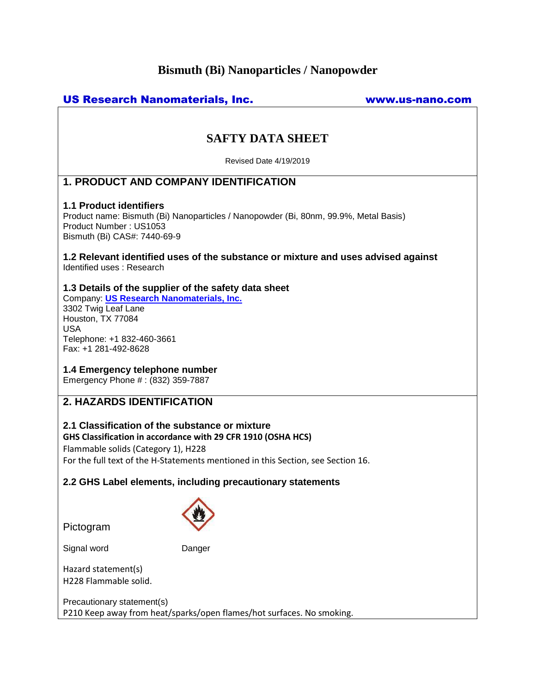# **Bismuth (Bi) Nanoparticles / Nanopowder**

| <b>US Research Nanomaterials, Inc.</b><br>www.us-nano.com                                                                                                                                                                                 |
|-------------------------------------------------------------------------------------------------------------------------------------------------------------------------------------------------------------------------------------------|
| <b>SAFTY DATA SHEET</b>                                                                                                                                                                                                                   |
| Revised Date 4/19/2019                                                                                                                                                                                                                    |
| <b>1. PRODUCT AND COMPANY IDENTIFICATION</b>                                                                                                                                                                                              |
| <b>1.1 Product identifiers</b><br>Product name: Bismuth (Bi) Nanoparticles / Nanopowder (Bi, 80nm, 99.9%, Metal Basis)<br>Product Number: US1053<br>Bismuth (Bi) CAS#: 7440-69-9                                                          |
| 1.2 Relevant identified uses of the substance or mixture and uses advised against<br>Identified uses: Research                                                                                                                            |
| 1.3 Details of the supplier of the safety data sheet<br>Company: <b>US Research Nanomaterials, Inc.</b><br>3302 Twig Leaf Lane<br>Houston, TX 77084<br><b>USA</b><br>Telephone: +1 832-460-3661<br>Fax: +1 281-492-8628                   |
| 1.4 Emergency telephone number<br>Emergency Phone #: (832) 359-7887                                                                                                                                                                       |
| <b>2. HAZARDS IDENTIFICATION</b>                                                                                                                                                                                                          |
| 2.1 Classification of the substance or mixture<br>GHS Classification in accordance with 29 CFR 1910 (OSHA HCS)<br>Flammable solids (Category 1), H228<br>For the full text of the H-Statements mentioned in this Section, see Section 16. |
| 2.2 GHS Label elements, including precautionary statements                                                                                                                                                                                |
| Pictogram                                                                                                                                                                                                                                 |

Signal word Danger

Hazard statement(s) H228 Flammable solid.

Precautionary statement(s) P210 Keep away from heat/sparks/open flames/hot surfaces. No smoking.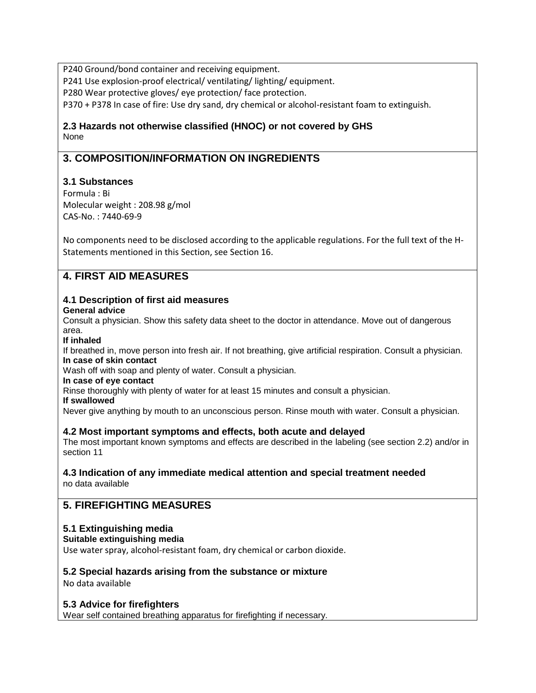P240 Ground/bond container and receiving equipment.

P241 Use explosion-proof electrical/ ventilating/ lighting/ equipment.

P280 Wear protective gloves/ eye protection/ face protection.

P370 + P378 In case of fire: Use dry sand, dry chemical or alcohol-resistant foam to extinguish.

# **2.3 Hazards not otherwise classified (HNOC) or not covered by GHS** None

# **3. COMPOSITION/INFORMATION ON INGREDIENTS**

# **3.1 Substances**

Formula : Bi Molecular weight : 208.98 g/mol CAS-No. : 7440-69-9

No components need to be disclosed according to the applicable regulations. For the full text of the H-Statements mentioned in this Section, see Section 16.

# **4. FIRST AID MEASURES**

#### **4.1 Description of first aid measures General advice**

Consult a physician. Show this safety data sheet to the doctor in attendance. Move out of dangerous area.

### **If inhaled**

If breathed in, move person into fresh air. If not breathing, give artificial respiration. Consult a physician. **In case of skin contact**

Wash off with soap and plenty of water. Consult a physician.

**In case of eye contact**

Rinse thoroughly with plenty of water for at least 15 minutes and consult a physician.

#### **If swallowed**

Never give anything by mouth to an unconscious person. Rinse mouth with water. Consult a physician.

# **4.2 Most important symptoms and effects, both acute and delayed**

The most important known symptoms and effects are described in the labeling (see section 2.2) and/or in section 11

# **4.3 Indication of any immediate medical attention and special treatment needed**

no data available

# **5. FIREFIGHTING MEASURES**

# **5.1 Extinguishing media**

```
Suitable extinguishing media
```
Use water spray, alcohol-resistant foam, dry chemical or carbon dioxide.

# **5.2 Special hazards arising from the substance or mixture**

No data available

# **5.3 Advice for firefighters**

Wear self contained breathing apparatus for firefighting if necessary.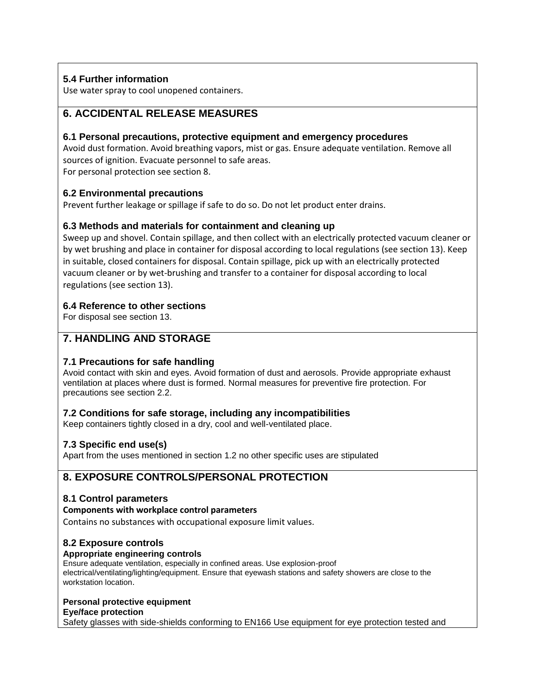# **5.4 Further information**

Use water spray to cool unopened containers.

# **6. ACCIDENTAL RELEASE MEASURES**

# **6.1 Personal precautions, protective equipment and emergency procedures**

Avoid dust formation. Avoid breathing vapors, mist or gas. Ensure adequate ventilation. Remove all sources of ignition. Evacuate personnel to safe areas.

For personal protection see section 8.

# **6.2 Environmental precautions**

Prevent further leakage or spillage if safe to do so. Do not let product enter drains.

# **6.3 Methods and materials for containment and cleaning up**

Sweep up and shovel. Contain spillage, and then collect with an electrically protected vacuum cleaner or by wet brushing and place in container for disposal according to local regulations (see section 13). Keep in suitable, closed containers for disposal. Contain spillage, pick up with an electrically protected vacuum cleaner or by wet-brushing and transfer to a container for disposal according to local regulations (see section 13).

# **6.4 Reference to other sections**

For disposal see section 13.

# **7. HANDLING AND STORAGE**

# **7.1 Precautions for safe handling**

Avoid contact with skin and eyes. Avoid formation of dust and aerosols. Provide appropriate exhaust ventilation at places where dust is formed. Normal measures for preventive fire protection. For precautions see section 2.2.

# **7.2 Conditions for safe storage, including any incompatibilities**

Keep containers tightly closed in a dry, cool and well-ventilated place.

# **7.3 Specific end use(s)**

Apart from the uses mentioned in section 1.2 no other specific uses are stipulated

# **8. EXPOSURE CONTROLS/PERSONAL PROTECTION**

# **8.1 Control parameters**

#### **Components with workplace control parameters**

Contains no substances with occupational exposure limit values.

# **8.2 Exposure controls**

# **Appropriate engineering controls**

Ensure adequate ventilation, especially in confined areas. Use explosion-proof electrical/ventilating/lighting/equipment. Ensure that eyewash stations and safety showers are close to the workstation location.

# **Personal protective equipment**

**Eye/face protection**

Safety glasses with side-shields conforming to EN166 Use equipment for eye protection tested and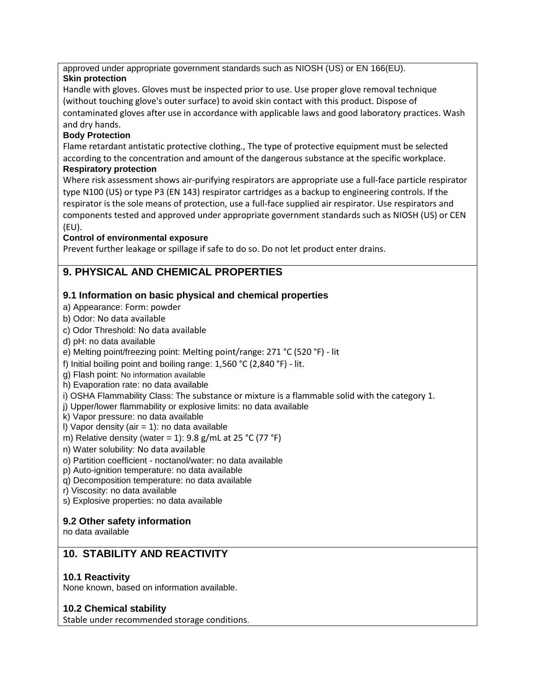approved under appropriate government standards such as NIOSH (US) or EN 166(EU).

# **Skin protection**

Handle with gloves. Gloves must be inspected prior to use. Use proper glove removal technique (without touching glove's outer surface) to avoid skin contact with this product. Dispose of contaminated gloves after use in accordance with applicable laws and good laboratory practices. Wash and dry hands.

# **Body Protection**

Flame retardant antistatic protective clothing., The type of protective equipment must be selected according to the concentration and amount of the dangerous substance at the specific workplace. **Respiratory protection**

Where risk assessment shows air-purifying respirators are appropriate use a full-face particle respirator type N100 (US) or type P3 (EN 143) respirator cartridges as a backup to engineering controls. If the respirator is the sole means of protection, use a full-face supplied air respirator. Use respirators and components tested and approved under appropriate government standards such as NIOSH (US) or CEN (EU).

# **Control of environmental exposure**

Prevent further leakage or spillage if safe to do so. Do not let product enter drains.

# **9. PHYSICAL AND CHEMICAL PROPERTIES**

# **9.1 Information on basic physical and chemical properties**

- a) Appearance: Form: powder
- b) Odor: No data available
- c) Odor Threshold: No data available
- d) pH: no data available
- e) Melting point/freezing point: Melting point/range: 271 °C (520 °F) lit
- f) Initial boiling point and boiling range: 1,560 °C (2,840 °F) lit.
- g) Flash point: No information available
- h) Evaporation rate: no data available
- i) OSHA Flammability Class: The substance or mixture is a flammable solid with the category 1.
- j) Upper/lower flammability or explosive limits: no data available
- k) Vapor pressure: no data available
- I) Vapor density (air  $= 1$ ): no data available
- m) Relative density (water = 1):  $9.8$  g/mL at  $25$  °C (77 °F)
- n) Water solubility: No data available
- o) Partition coefficient noctanol/water: no data available
- p) Auto-ignition temperature: no data available
- q) Decomposition temperature: no data available
- r) Viscosity: no data available
- s) Explosive properties: no data available

# **9.2 Other safety information**

no data available

# **10. STABILITY AND REACTIVITY**

# **10.1 Reactivity**

None known, based on information available.

# **10.2 Chemical stability**

Stable under recommended storage conditions.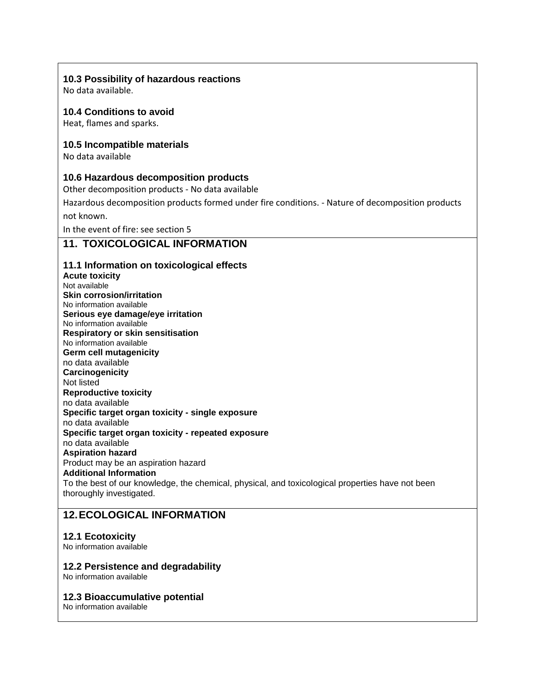### **10.3 Possibility of hazardous reactions**

No data available.

# **10.4 Conditions to avoid**

Heat, flames and sparks.

### **10.5 Incompatible materials**

No data available

### **10.6 Hazardous decomposition products**

Other decomposition products - No data available

Hazardous decomposition products formed under fire conditions. - Nature of decomposition products

not known.

In the event of fire: see section 5

# **11. TOXICOLOGICAL INFORMATION**

#### **11.1 Information on toxicological effects**

**Acute toxicity** Not available **Skin corrosion/irritation** No information available **Serious eye damage/eye irritation** No information available **Respiratory or skin sensitisation** No information available **Germ cell mutagenicity** no data available **Carcinogenicity** Not listed **Reproductive toxicity** no data available **Specific target organ toxicity - single exposure** no data available **Specific target organ toxicity - repeated exposure** no data available **Aspiration hazard** Product may be an aspiration hazard **Additional Information** To the best of our knowledge, the chemical, physical, and toxicological properties have not been thoroughly investigated.

# **12.ECOLOGICAL INFORMATION**

#### **12.1 Ecotoxicity**

No information available

#### **12.2 Persistence and degradability**

No information available

#### **12.3 Bioaccumulative potential**

No information available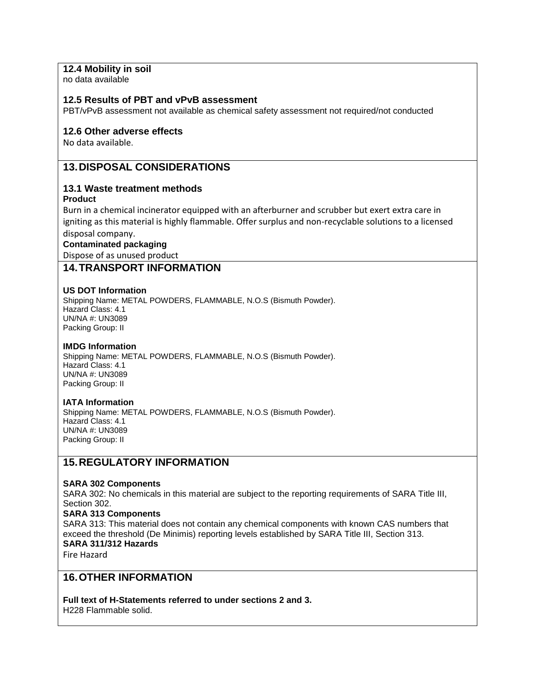### **12.4 Mobility in soil**

no data available

#### **12.5 Results of PBT and vPvB assessment**

PBT/vPvB assessment not available as chemical safety assessment not required/not conducted

#### **12.6 Other adverse effects**

No data available.

# **13.DISPOSAL CONSIDERATIONS**

#### **13.1 Waste treatment methods**

**Product**

Burn in a chemical incinerator equipped with an afterburner and scrubber but exert extra care in igniting as this material is highly flammable. Offer surplus and non-recyclable solutions to a licensed disposal company.

**Contaminated packaging**

Dispose of as unused product

### **14.TRANSPORT INFORMATION**

#### **US DOT Information**

Shipping Name: METAL POWDERS, FLAMMABLE, N.O.S (Bismuth Powder). Hazard Class: 4.1 UN/NA #: UN3089 Packing Group: II

#### **IMDG Information**

Shipping Name: METAL POWDERS, FLAMMABLE, N.O.S (Bismuth Powder). Hazard Class: 4.1 UN/NA #: UN3089 Packing Group: II

#### **IATA Information**

Shipping Name: METAL POWDERS, FLAMMABLE, N.O.S (Bismuth Powder). Hazard Class: 4.1 UN/NA #: UN3089 Packing Group: II

# **15.REGULATORY INFORMATION**

#### **SARA 302 Components**

SARA 302: No chemicals in this material are subject to the reporting requirements of SARA Title III, Section 302.

#### **SARA 313 Components**

SARA 313: This material does not contain any chemical components with known CAS numbers that exceed the threshold (De Minimis) reporting levels established by SARA Title III, Section 313. **SARA 311/312 Hazards**

Fire Hazard

# **16.OTHER INFORMATION**

**Full text of H-Statements referred to under sections 2 and 3.** H228 Flammable solid.